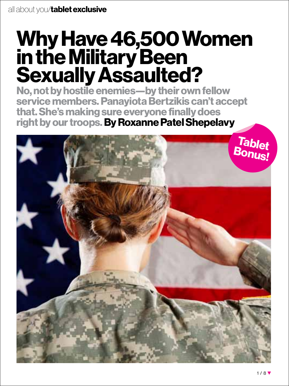# **Why Have 46,500 Women in the Military Been Sexually Assaulted?**

**No, not by hostile enemies—by their own fellow service members. Panayiota Bertzikis can't accept that. She's making sure everyone finally does right by our troops. By Roxanne Patel Shepelavy**

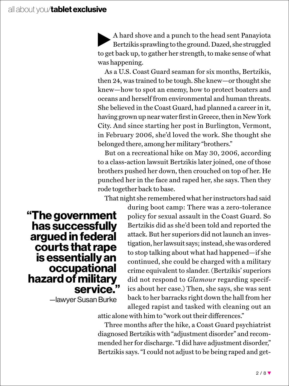A hard shove and a punch to the head sent Panayiota Bertzikis sprawling to the ground. Dazed, she struggled to get back up, to gather her strength, to make sense of what was happening.

As a U.S. Coast Guard seaman for six months, Bertzikis, then 24, was trained to be tough. She knew—or thought she knew—how to spot an enemy, how to protect boaters and oceans and herself from environmental and human threats. She believed in the Coast Guard, had planned a career in it, having grown up near water first in Greece, then in New York City. And since starting her post in Burlington, Vermont, in February 2006, she'd loved the work. She thought she belonged there, among her military "brothers."

But on a recreational hike on May 30, 2006, according to a class-action lawsuit Bertzikis later joined, one of those brothers pushed her down, then crouched on top of her. He punched her in the face and raped her, she says. Then they rode together back to base.

That night she remembered what her instructors had said

**"The government has successfully argued in federal courts that rape is essentially an occupational hazard of military service."**

—lawyer Susan Burke

during boot camp: There was a zero-tolerance policy for sexual assault in the Coast Guard. So Bertzikis did as she'd been told and reported the attack. But her superiors did not launch an investigation, her lawsuit says; instead, she was ordered to stop talking about what had happened—if she continued, she could be charged with a military crime equivalent to slander. (Bertzikis' superiors did not respond to *Glamour* regarding specifics about her case.) Then, she says, she was sent back to her barracks right down the hall from her alleged rapist and tasked with cleaning out an

attic alone with him to "work out their differences."

Three months after the hike, a Coast Guard psychiatrist diagnosed Bertzikis with "adjustment disorder" and recommended her for discharge. "I did have adjustment disorder," Bertzikis says. "I could not adjust to be being raped and get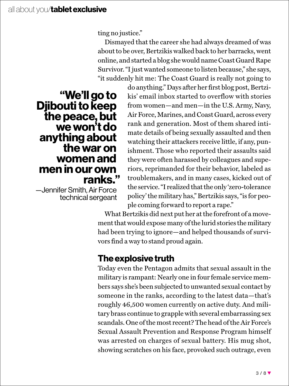ting no justice."

Dismayed that the career she had always dreamed of was about to be over, Bertzikis walked back to her barracks, went online, and started a blog she would name Coast Guard Rape Survivor. "I just wanted someone to listen because," she says, "it suddenly hit me: The Coast Guard is really not going to

**"We'll go to Djibouti to keep the peace, but we won't do anything about the war on women and men in our own ranks."** 

—Jennifer Smith, Air Force technical sergeant do anything." Days after her first blog post, Bertzikis' email inbox started to overflow with stories from women—and men—in the U.S. Army, Navy, Air Force, Marines, and Coast Guard, across every rank and generation. Most of them shared intimate details of being sexually assaulted and then watching their attackers receive little, if any, punishment. Those who reported their assaults said they were often harassed by colleagues and superiors, reprimanded for their behavior, labeled as troublemakers, and in many cases, kicked out of the service. "I realized that the only 'zero-tolerance policy' the military has," Bertzikis says, "is for people coming forward to report a rape."

What Bertzikis did next put her at the forefront of a movement that would expose many of the lurid stories the military had been trying to ignore—and helped thousands of survivors find a way to stand proud again.

### **The explosive truth**

Today even the Pentagon admits that sexual assault in the military is rampant: Nearly one in four female service members says she's been subjected to unwanted sexual contact by someone in the ranks, according to the latest data—that's roughly 46,500 women currently on active duty. And military brass continue to grapple with several embarrassing sex scandals. One of the most recent? The head of the Air Force's Sexual Assault Prevention and Response Program himself was arrested on charges of sexual battery. His mug shot, showing scratches on his face, provoked such outrage, even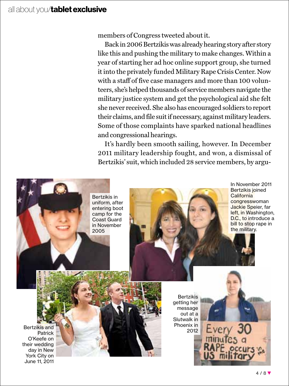#### all about you/**tablet exclusive**

members of Congress tweeted about it.

Back in 2006 Bertzikis was already hearing story after story like this and pushing the military to make changes. Within a year of starting her ad hoc online support group, she turned it into the privately funded Military Rape Crisis Center. Now with a staff of five case managers and more than 100 volunteers, she's helped thousands of service members navigate the military justice system and get the psychological aid she felt she never received. She also has encouraged soldiers to report their claims, and file suit if necessary, against military leaders. Some of those complaints have sparked national headlines and congressional hearings.

It's hardly been smooth sailing, however. In December 2011 military leadership fought, and won, a dismissal of Bertzikis' suit, which included 28 service members, by argu-



In November 2011 Bertzikis joined California congresswoman Jackie Speier, far left, in Washington, D.C., to introduce a bill to stop rape in the military.

Bertzikis and Patrick O'Keefe on their wedding day in New York City on June 11, 2011

Bertzikis getting her message out at a Slutwalk in Phoenix in 2012

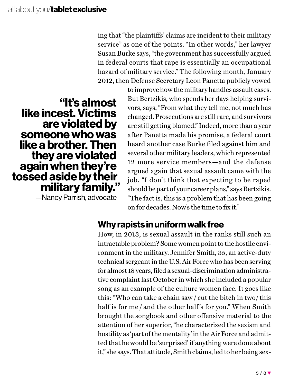ing that "the plaintiffs' claims are incident to their military service" as one of the points. "In other words," her lawyer Susan Burke says, "the government has successfully argued in federal courts that rape is essentially an occupational hazard of military service." The following month, January 2012, then Defense Secretary Leon Panetta publicly vowed

**"It's almost like incest. Victims are violated by someone who was like a brother. Then they are violated again when they're tossed aside by their military family."**

—Nancy Parrish, advocate

to improve how the military handles assault cases. But Bertzikis, who spends her days helping survivors, says, "From what they tell me, not much has changed. Prosecutions are still rare, and survivors are still getting blamed." Indeed, more than a year after Panetta made his promise, a federal court heard another case Burke filed against him and several other military leaders, which represented 12 more service members—and the defense argued again that sexual assault came with the job. "I don't think that expecting to be raped should be part of your career plans," says Bertzikis. "The fact is, this is a problem that has been going on for decades. Now's the time to fix it."

#### **Why rapists in uniform walk free**

How, in 2013, is sexual assault in the ranks still such an intractable problem? Some women point to the hostile environment in the military. Jennifer Smith, 35, an active-duty technical sergeant in the U.S. Air Force who has been serving for almost 18 years, filed a sexual-discrimination administrative complaint last October in which she included a popular song as an example of the culture women face. It goes like this: "Who can take a chain saw / cut the bitch in two/ this half is for me / and the other half's for you." When Smith brought the songbook and other offensive material to the attention of her superior, "he characterized the sexism and hostility as 'part of the mentality' in the Air Force and admitted that he would be 'surprised' if anything were done about it," she says. That attitude, Smith claims, led to her being sex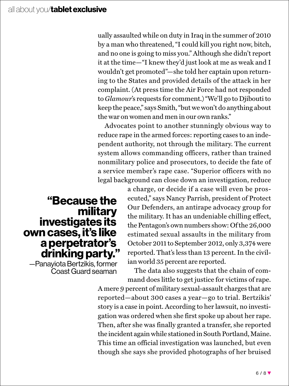ually assaulted while on duty in Iraq in the summer of 2010 by a man who threatened, "I could kill you right now, bitch, and no one is going to miss you." Although she didn't report it at the time—"I knew they'd just look at me as weak and I wouldn't get promoted"—she told her captain upon returning to the States and provided details of the attack in her complaint. (At press time the Air Force had not responded to *Glamour*'s requests for comment.) "We'll go to Djibouti to keep the peace," says Smith, "but we won't do anything about the war on women and men in our own ranks."

Advocates point to another stunningly obvious way to reduce rape in the armed forces: reporting cases to an independent authority, not through the military. The current system allows commanding officers, rather than trained nonmilitary police and prosecutors, to decide the fate of a service member's rape case. "Superior officers with no legal background can close down an investigation, reduce

## **"Because the military investigates its own cases, it's like a perpetrator's drinking party."**

—Panayiota Bertzikis, former Coast Guard seaman

a charge, or decide if a case will even be prosecuted," says Nancy Parrish, president of Protect Our Defenders, an antirape advocacy group for the military. It has an undeniable chilling effect, the Pentagon's own numbers show: Of the 26,000 estimated sexual assaults in the military from October 2011 to September 2012, only 3,374 were reported. That's less than 13 percent. In the civilian world 35 percent are reported.

The data also suggests that the chain of command does little to get justice for victims of rape.

A mere 9 percent of military sexual-assault charges that are reported—about 300 cases a year—go to trial. Bertzikis' story is a case in point. According to her lawsuit, no investigation was ordered when she first spoke up about her rape. Then, after she was finally granted a transfer, she reported the incident again while stationed in South Portland, Maine. This time an official investigation was launched, but even though she says she provided photographs of her bruised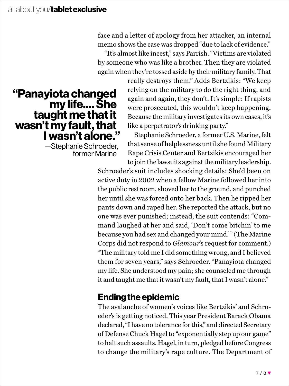face and a letter of apology from her attacker, an internal memo shows the case was dropped "due to lack of evidence."

"It's almost like incest," says Parrish. "Victims are violated by someone who was like a brother. Then they are violated again when they're tossed aside by their military family. That

## **"Panayiota changed my life.…She taught me that it wasn't my fault, that I wasn't alone."**

—Stephanie Schroeder, former Marine

really destroys them." Adds Bertzikis: "We keep relying on the military to do the right thing, and again and again, they don't. It's simple: If rapists were prosecuted, this wouldn't keep happening. Because the military investigates its own cases, it's like a perpetrator's drinking party."

Stephanie Schroeder, a former U.S. Marine, felt that sense of helplessness until she found Military Rape Crisis Center and Bertzikis encouraged her to join the lawsuits against the military leadership.

Schroeder's suit includes shocking details: She'd been on active duty in 2002 when a fellow Marine followed her into the public restroom, shoved her to the ground, and punched her until she was forced onto her back. Then he ripped her pants down and raped her. She reported the attack, but no one was ever punished; instead, the suit contends: "Command laughed at her and said, 'Don't come bitchin' to me because you had sex and changed your mind.'" (The Marine Corps did not respond to *Glamour*'s request for comment.) "The military told me I did something wrong, and I believed them for seven years," says Schroeder. "Panayiota changed my life. She understood my pain; she counseled me through it and taught me that it wasn't my fault, that I wasn't alone."

## **Ending the epidemic**

The avalanche of women's voices like Bertzikis' and Schroeder's is getting noticed. This year President Barack Obama declared, "I have no tolerance for this," and directed Secretary of Defense Chuck Hagel to "exponentially step up our game" to halt such assaults. Hagel, in turn, pledged before Congress to change the military's rape culture. The Department of